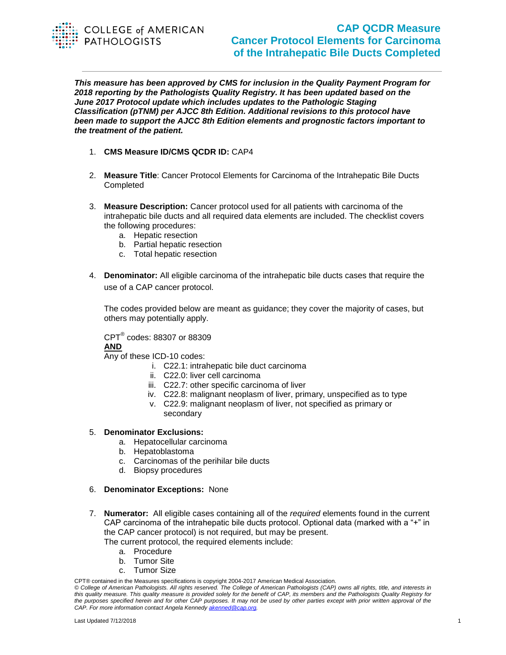

## **CAP QCDR Measure Cancer Protocol Elements for Carcinoma of the Intrahepatic Bile Ducts Completed**

*This measure has been approved by CMS for inclusion in the Quality Payment Program for 2018 reporting by the Pathologists Quality Registry. It has been updated based on the June 2017 Protocol update which includes updates to the Pathologic Staging Classification (pTNM) per AJCC 8th Edition. Additional revisions to this protocol have been made to support the AJCC 8th Edition elements and prognostic factors important to the treatment of the patient.*

- 1. **CMS Measure ID/CMS QCDR ID:** CAP4
- 2. **Measure Title**: Cancer Protocol Elements for Carcinoma of the Intrahepatic Bile Ducts Completed
- 3. **Measure Description:** Cancer protocol used for all patients with carcinoma of the intrahepatic bile ducts and all required data elements are included. The checklist covers the following procedures:
	- a. Hepatic resection
	- b. Partial hepatic resection
	- c. Total hepatic resection
- 4. **Denominator:** All eligible carcinoma of the intrahepatic bile ducts cases that require the use of a CAP cancer protocol.

The codes provided below are meant as guidance; they cover the majority of cases, but others may potentially apply.

CPT® codes: 88307 or 88309 **AND** 

Any of these ICD-10 codes:

- i. C22.1: intrahepatic bile duct carcinoma
- ii. C22.0: liver cell carcinoma
- iii. C22.7: other specific carcinoma of liver
- iv. C22.8: malignant neoplasm of liver, primary, unspecified as to type
- v. C22.9: malignant neoplasm of liver, not specified as primary or secondary

## 5. **Denominator Exclusions:**

- a. Hepatocellular carcinoma
- b. Hepatoblastoma
- c. Carcinomas of the perihilar bile ducts
- d. Biopsy procedures

## 6. **Denominator Exceptions:** None

- 7. **Numerator:** All eligible cases containing all of the *required* elements found in the current CAP carcinoma of the intrahepatic bile ducts protocol. Optional data (marked with a "+" in the CAP cancer protocol) is not required, but may be present. The current protocol, the required elements include:
	- a. Procedure
	- b. Tumor Site
	- c. Tumor Size

CPT® contained in the Measures specifications is copyright 2004-2017 American Medical Association.

*© College of American Pathologists. All rights reserved. The College of American Pathologists (CAP) owns all rights, title, and interests in this quality measure. This quality measure is provided solely for the benefit of CAP, its members and the Pathologists Quality Registry for the purposes specified herein and for other CAP purposes. It may not be used by other parties except with prior written approval of the CAP. For more information contact Angela Kennedy [akenned@cap.org.](mailto:akenned@cap.org)*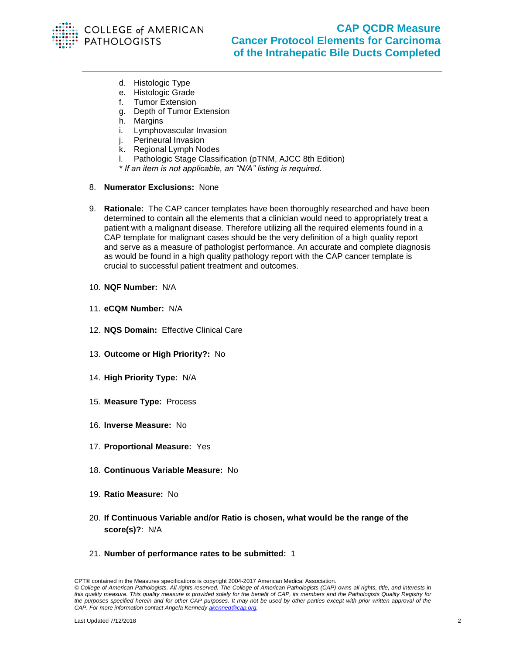

- d. Histologic Type
- e. Histologic Grade
- f. Tumor Extension
- g. Depth of Tumor Extension
- h. Margins
- i. Lymphovascular Invasion
- j. Perineural Invasion
- k. Regional Lymph Nodes
- l. Pathologic Stage Classification (pTNM, AJCC 8th Edition)
- *\* If an item is not applicable, an "N/A" listing is required.*
- 8. **Numerator Exclusions:** None
- 9. **Rationale:** The CAP cancer templates have been thoroughly researched and have been determined to contain all the elements that a clinician would need to appropriately treat a patient with a malignant disease. Therefore utilizing all the required elements found in a CAP template for malignant cases should be the very definition of a high quality report and serve as a measure of pathologist performance. An accurate and complete diagnosis as would be found in a high quality pathology report with the CAP cancer template is crucial to successful patient treatment and outcomes.
- 10. **NQF Number:** N/A
- 11. **eCQM Number:** N/A
- 12. **NQS Domain:** Effective Clinical Care
- 13. **Outcome or High Priority?:** No
- 14. **High Priority Type:** N/A
- 15. **Measure Type:** Process
- 16. **Inverse Measure:** No
- 17. **Proportional Measure:** Yes
- 18. **Continuous Variable Measure:** No
- 19. **Ratio Measure:** No
- 20. **If Continuous Variable and/or Ratio is chosen, what would be the range of the score(s)?**: N/A
- 21. **Number of performance rates to be submitted:** 1

CPT® contained in the Measures specifications is copyright 2004-2017 American Medical Association. *© College of American Pathologists. All rights reserved. The College of American Pathologists (CAP) owns all rights, title, and interests in this quality measure. This quality measure is provided solely for the benefit of CAP, its members and the Pathologists Quality Registry for the purposes specified herein and for other CAP purposes. It may not be used by other parties except with prior written approval of the CAP. For more information contact Angela Kennedy [akenned@cap.org.](mailto:akenned@cap.org)*